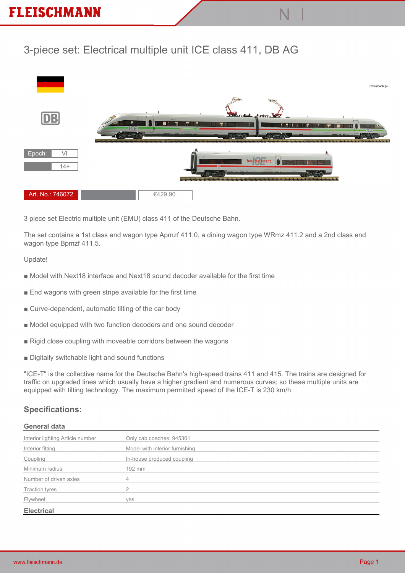# **3-piece set: Electrical multiple unit ICE class 411, DB AG**



**3 piece set Electric multiple unit (EMU) class 411 of the Deutsche Bahn.**

**The set contains a 1st class end wagon type Apmzf 411.0, a dining wagon type WRmz 411.2 and a 2nd class end wagon type Bpmzf 411.5.**

#### **Update!**

- Model with Next18 interface and Next18 sound decoder available for the first time
- **End wagons with green stripe available for the first time**
- **Curve-dependent, automatic tilting of the car body**
- **Model equipped with two function decoders and one sound decoder**
- **Rigid close coupling with moveable corridors between the wagons**
- **Digitally switchable light and sound functions**

**"ICE-T" is the collective name for the Deutsche Bahn's high-speed trains 411 and 415. The trains are designed for traffic on upgraded lines which usually have a higher gradient and numerous curves; so these multiple units are equipped with tilting technology. The maximum permitted speed of the ICE-T is 230 km/h.**

## **Specifications:**

#### **General data**

| Interior lighting Article number | Only cab coaches: 945301       |
|----------------------------------|--------------------------------|
| Interior fitting                 | Model with interior furnishing |
| Coupling                         | In-house produced coupling     |
| Minimum radius                   | 192 mm                         |
| Number of driven axles           |                                |
| <b>Traction tyres</b>            | ◠                              |
| Flywheel                         | ves                            |
| <b>Electrical</b>                |                                |